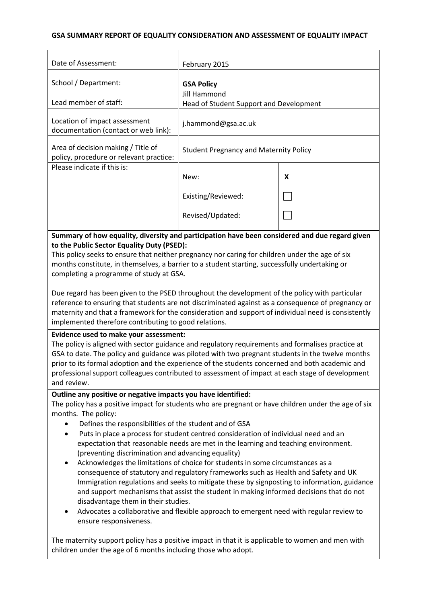## **GSA SUMMARY REPORT OF EQUALITY CONSIDERATION AND ASSESSMENT OF EQUALITY IMPACT**

| Date of Assessment:                                                           | February 2015                                           |   |
|-------------------------------------------------------------------------------|---------------------------------------------------------|---|
| School / Department:                                                          | <b>GSA Policy</b>                                       |   |
| Lead member of staff:                                                         | Jill Hammond<br>Head of Student Support and Development |   |
| Location of impact assessment<br>documentation (contact or web link):         | j.hammond@gsa.ac.uk                                     |   |
| Area of decision making / Title of<br>policy, procedure or relevant practice: | <b>Student Pregnancy and Maternity Policy</b>           |   |
| Please indicate if this is:                                                   | New:                                                    | X |
|                                                                               | Existing/Reviewed:                                      |   |
|                                                                               | Revised/Updated:                                        |   |

**Summary of how equality, diversity and participation have been considered and due regard given to the Public Sector Equality Duty (PSED):**

This policy seeks to ensure that neither pregnancy nor caring for children under the age of six months constitute, in themselves, a barrier to a student starting, successfully undertaking or completing a programme of study at GSA.

Due regard has been given to the PSED throughout the development of the policy with particular reference to ensuring that students are not discriminated against as a consequence of pregnancy or maternity and that a framework for the consideration and support of individual need is consistently implemented therefore contributing to good relations.

#### **Evidence used to make your assessment:**

The policy is aligned with sector guidance and regulatory requirements and formalises practice at GSA to date. The policy and guidance was piloted with two pregnant students in the twelve months prior to its formal adoption and the experience of the students concerned and both academic and professional support colleagues contributed to assessment of impact at each stage of development and review.

## **Outline any positive or negative impacts you have identified:**

The policy has a positive impact for students who are pregnant or have children under the age of six months. The policy:

- Defines the responsibilities of the student and of GSA
- Puts in place a process for student centred consideration of individual need and an expectation that reasonable needs are met in the learning and teaching environment. (preventing discrimination and advancing equality)
- Acknowledges the limitations of choice for students in some circumstances as a consequence of statutory and regulatory frameworks such as Health and Safety and UK Immigration regulations and seeks to mitigate these by signposting to information, guidance and support mechanisms that assist the student in making informed decisions that do not disadvantage them in their studies.
- Advocates a collaborative and flexible approach to emergent need with regular review to ensure responsiveness.

The maternity support policy has a positive impact in that it is applicable to women and men with children under the age of 6 months including those who adopt.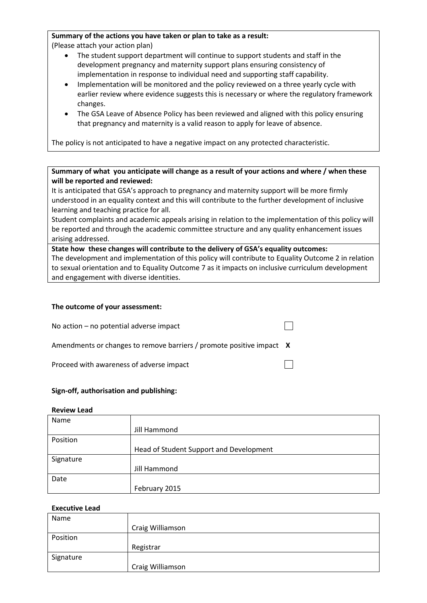### **Summary of the actions you have taken or plan to take as a result:**

(Please attach your action plan)

- The student support department will continue to support students and staff in the development pregnancy and maternity support plans ensuring consistency of implementation in response to individual need and supporting staff capability.
- Implementation will be monitored and the policy reviewed on a three yearly cycle with earlier review where evidence suggests this is necessary or where the regulatory framework changes.
- The GSA Leave of Absence Policy has been reviewed and aligned with this policy ensuring that pregnancy and maternity is a valid reason to apply for leave of absence.

The policy is not anticipated to have a negative impact on any protected characteristic.

## **Summary of what you anticipate will change as a result of your actions and where / when these will be reported and reviewed:**

It is anticipated that GSA's approach to pregnancy and maternity support will be more firmly understood in an equality context and this will contribute to the further development of inclusive learning and teaching practice for all.

Student complaints and academic appeals arising in relation to the implementation of this policy will be reported and through the academic committee structure and any quality enhancement issues arising addressed.

**State how these changes will contribute to the delivery of GSA's equality outcomes:** The development and implementation of this policy will contribute to Equality Outcome 2 in relation to sexual orientation and to Equality Outcome 7 as it impacts on inclusive curriculum development and engagement with diverse identities.

## **The outcome of your assessment:**

No action – no potential adverse impact

Amendments or changes to remove barriers / promote positive impact **X**

Proceed with awareness of adverse impact

#### **Sign-off, authorisation and publishing:**

#### **Review Lead**

| Name      |                                         |
|-----------|-----------------------------------------|
|           | Jill Hammond                            |
| Position  |                                         |
|           | Head of Student Support and Development |
| Signature |                                         |
|           | Jill Hammond                            |
| Date      |                                         |
|           | February 2015                           |

#### **Executive Lead**

| Name      |                  |
|-----------|------------------|
|           | Craig Williamson |
| Position  |                  |
|           | Registrar        |
| Signature |                  |
|           | Craig Williamson |